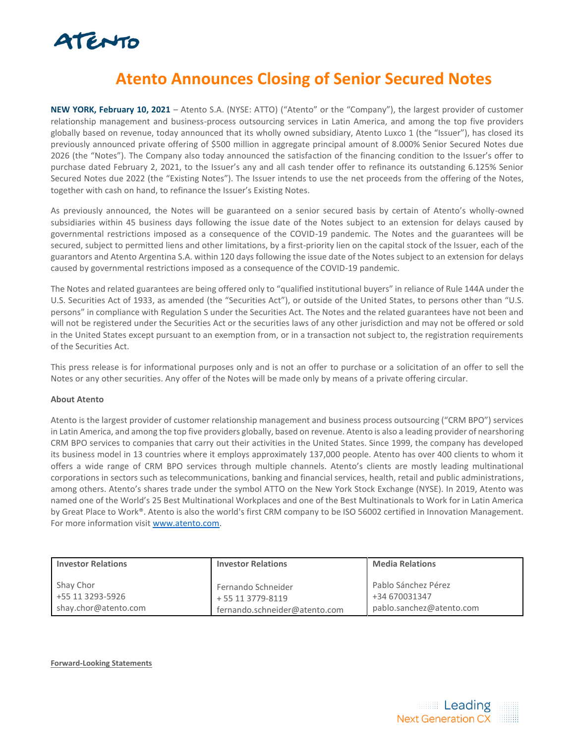

## **Atento Announces Closing of Senior Secured Notes**

**NEW YORK, February 10, 2021** – Atento S.A. (NYSE: ATTO) ("Atento" or the "Company"), the largest provider of customer relationship management and business-process outsourcing services in Latin America, and among the top five providers globally based on revenue, today announced that its wholly owned subsidiary, Atento Luxco 1 (the "Issuer"), has closed its previously announced private offering of \$500 million in aggregate principal amount of 8.000% Senior Secured Notes due 2026 (the "Notes"). The Company also today announced the satisfaction of the financing condition to the Issuer's offer to purchase dated February 2, 2021, to the Issuer's any and all cash tender offer to refinance its outstanding 6.125% Senior Secured Notes due 2022 (the "Existing Notes"). The Issuer intends to use the net proceeds from the offering of the Notes, together with cash on hand, to refinance the Issuer's Existing Notes.

As previously announced, the Notes will be guaranteed on a senior secured basis by certain of Atento's wholly-owned subsidiaries within 45 business days following the issue date of the Notes subject to an extension for delays caused by governmental restrictions imposed as a consequence of the COVID-19 pandemic. The Notes and the guarantees will be secured, subject to permitted liens and other limitations, by a first-priority lien on the capital stock of the Issuer, each of the guarantors and Atento Argentina S.A. within 120 days following the issue date of the Notes subject to an extension for delays caused by governmental restrictions imposed as a consequence of the COVID-19 pandemic.

The Notes and related guarantees are being offered only to "qualified institutional buyers" in reliance of Rule 144A under the U.S. Securities Act of 1933, as amended (the "Securities Act"), or outside of the United States, to persons other than "U.S. persons" in compliance with Regulation S under the Securities Act. The Notes and the related guarantees have not been and will not be registered under the Securities Act or the securities laws of any other jurisdiction and may not be offered or sold in the United States except pursuant to an exemption from, or in a transaction not subject to, the registration requirements of the Securities Act.

This press release is for informational purposes only and is not an offer to purchase or a solicitation of an offer to sell the Notes or any other securities. Any offer of the Notes will be made only by means of a private offering circular.

## **About Atento**

Atento is the largest provider of customer relationship management and business process outsourcing ("CRM BPO") services in Latin America, and among the top five providers globally, based on revenue. Atento is also a leading provider of nearshoring CRM BPO services to companies that carry out their activities in the United States. Since 1999, the company has developed its business model in 13 countries where it employs approximately 137,000 people. Atento has over 400 clients to whom it offers a wide range of CRM BPO services through multiple channels. Atento's clients are mostly leading multinational corporations in sectors such as telecommunications, banking and financial services, health, retail and public administrations, among others. Atento's shares trade under the symbol ATTO on the New York Stock Exchange (NYSE). In 2019, Atento was named one of the World's 25 Best Multinational Workplaces and one of the Best Multinationals to Work for in Latin America by Great Place to Work®. Atento is also the world's first CRM company to be ISO 56002 certified in Innovation Management. For more information visit [www.atento.com.](http://www.atento.com/)

| <b>Investor Relations</b> | <b>Investor Relations</b>     | <b>Media Relations</b>   |
|---------------------------|-------------------------------|--------------------------|
| Shay Chor                 | Fernando Schneider            | Pablo Sánchez Pérez      |
| +55 11 3293-5926          | + 55 11 3779-8119             | +34 670031347            |
| shay.chor@atento.com      | fernando.schneider@atento.com | pablo.sanchez@atento.com |

**Forward-Looking Statements**